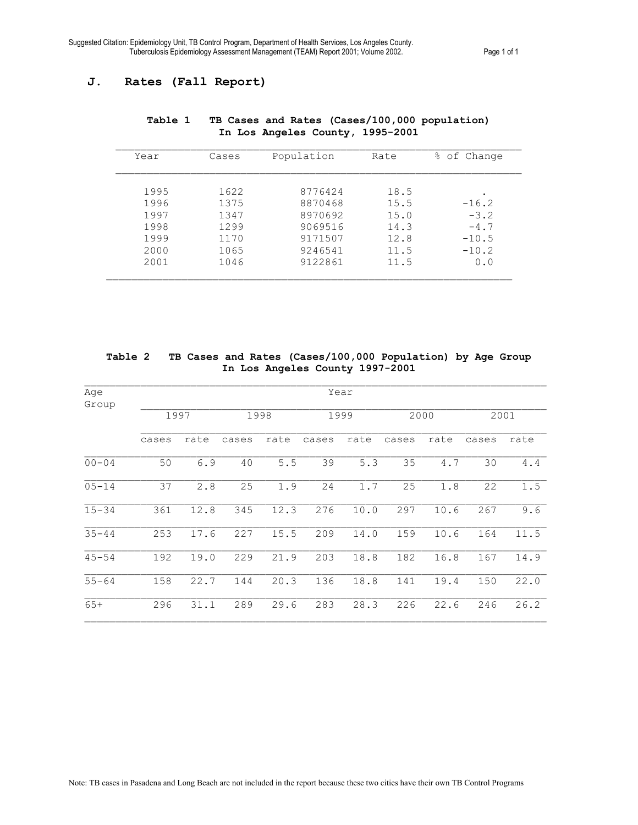## **J. Rates (Fall Report)**

| Year | Cases | Population | Rate | of Change<br>ိင |
|------|-------|------------|------|-----------------|
|      |       |            |      |                 |
| 1995 | 1622  | 8776424    | 18.5 |                 |
| 1996 | 1375  | 8870468    | 15.5 | $-16.2$         |
| 1997 | 1347  | 8970692    | 15.0 | $-3.2$          |
| 1998 | 1299  | 9069516    | 14.3 | $-4.7$          |
| 1999 | 1170  | 9171507    | 12.8 | $-10.5$         |
| 2000 | 1065  | 9246541    | 11.5 | $-10.2$         |
| 2001 | 1046  | 9122861    | 11.5 | 0.0             |
|      |       |            |      |                 |

## **Table 1 TB Cases and Rates (Cases/100,000 population) In Los Angeles County, 1995-2001**

**Table 2 TB Cases and Rates (Cases/100,000 Population) by Age Group In Los Angeles County 1997-2001** 

| Age<br>Group | Year  |      |       |      |       |      |       |      |       |      |
|--------------|-------|------|-------|------|-------|------|-------|------|-------|------|
|              | 1997  |      | 1998  |      | 1999  |      | 2000  |      | 2001  |      |
|              | cases | rate | cases | rate | cases | rate | cases | rate | cases | rate |
| $00 - 04$    | 50    | 6.9  | 40    | 5.5  | 39    | 5.3  | 35    | 4.7  | 30    | 4.4  |
| $05 - 14$    | 37    | 2.8  | 25    | 1.9  | 24    | 1.7  | 25    | 1.8  | 22    | 1.5  |
| $15 - 34$    | 361   | 12.8 | 345   | 12.3 | 276   | 10.0 | 297   | 10.6 | 267   | 9.6  |
| $35 - 44$    | 253   | 17.6 | 227   | 15.5 | 209   | 14.0 | 159   | 10.6 | 164   | 11.5 |
| $45 - 54$    | 192   | 19.0 | 229   | 21.9 | 203   | 18.8 | 182   | 16.8 | 167   | 14.9 |
| $55 - 64$    | 158   | 22.7 | 144   | 20.3 | 136   | 18.8 | 141   | 19.4 | 150   | 22.0 |
| $65+$        | 296   | 31.1 | 289   | 29.6 | 283   | 28.3 | 226   | 22.6 | 246   | 26.2 |